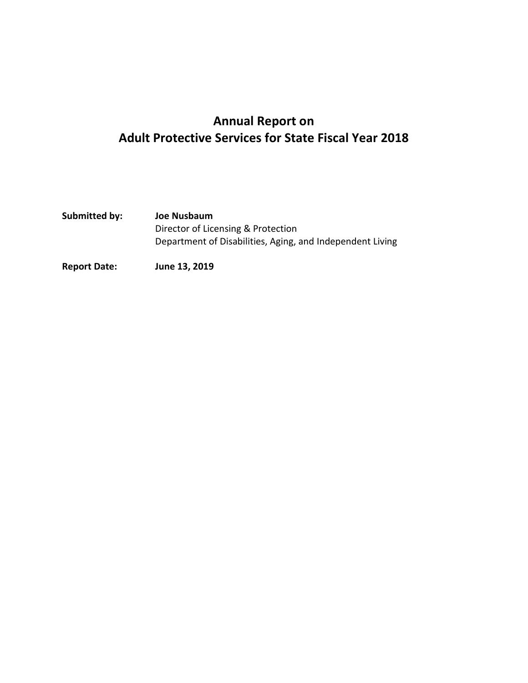# **Annual Report on Adult Protective Services for State Fiscal Year 2018**

| Submitted by: | Joe Nusbaum                                               |
|---------------|-----------------------------------------------------------|
|               | Director of Licensing & Protection                        |
|               | Department of Disabilities, Aging, and Independent Living |
|               |                                                           |

**Report Date: June 13, 2019**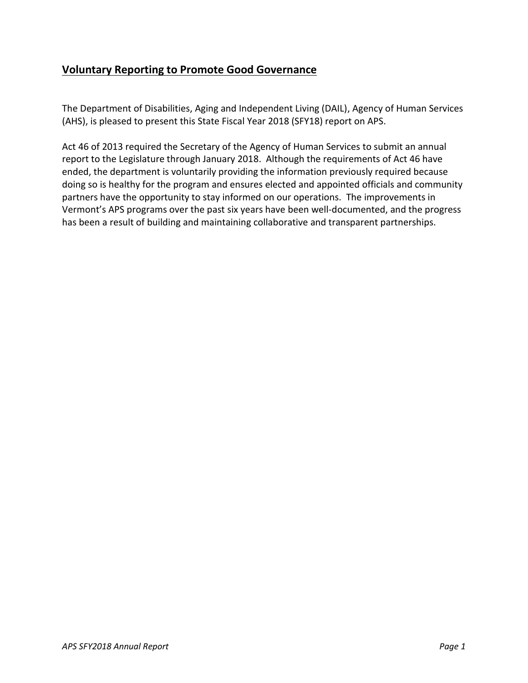# **Voluntary Reporting to Promote Good Governance**

The Department of Disabilities, Aging and Independent Living (DAIL), Agency of Human Services (AHS), is pleased to present this State Fiscal Year 2018 (SFY18) report on APS.

Act 46 of 2013 required the Secretary of the Agency of Human Services to submit an annual report to the Legislature through January 2018. Although the requirements of Act 46 have ended, the department is voluntarily providing the information previously required because doing so is healthy for the program and ensures elected and appointed officials and community partners have the opportunity to stay informed on our operations. The improvements in Vermont's APS programs over the past six years have been well-documented, and the progress has been a result of building and maintaining collaborative and transparent partnerships.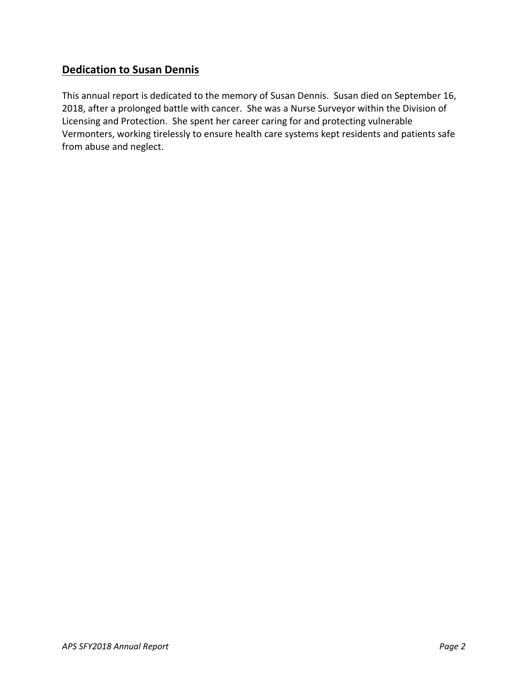# **Dedication to Susan Dennis**

This annual report is dedicated to the memory of Susan Dennis. Susan died on September 16, 2018, after a prolonged battle with cancer. She was a Nurse Surveyor within the Division of Licensing and Protection. She spent her career caring for and protecting vulnerable Vermonters, working tirelessly to ensure health care systems kept residents and patients safe from abuse and neglect.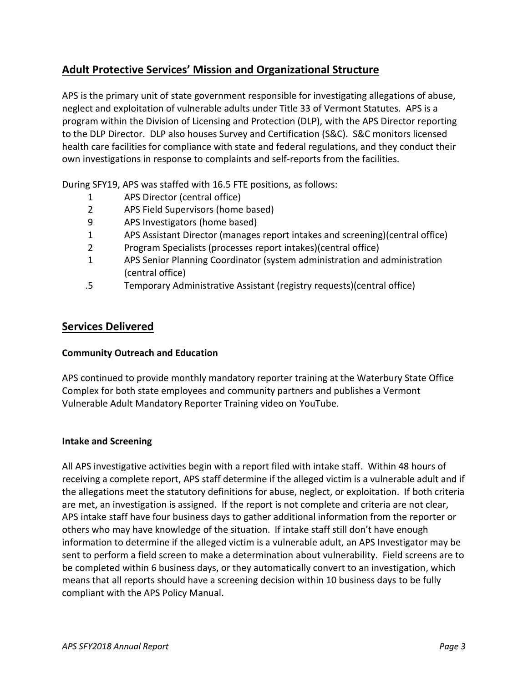# **Adult Protective Services' Mission and Organizational Structure**

APS is the primary unit of state government responsible for investigating allegations of abuse, neglect and exploitation of vulnerable adults under Title 33 of Vermont Statutes. APS is a program within the Division of Licensing and Protection (DLP), with the APS Director reporting to the DLP Director. DLP also houses Survey and Certification (S&C). S&C monitors licensed health care facilities for compliance with state and federal regulations, and they conduct their own investigations in response to complaints and self-reports from the facilities.

During SFY19, APS was staffed with 16.5 FTE positions, as follows:

- 1 APS Director (central office)
- 2 APS Field Supervisors (home based)
- 9 APS Investigators (home based)
- 1 APS Assistant Director (manages report intakes and screening)(central office)
- 2 Program Specialists (processes report intakes)(central office)
- 1 APS Senior Planning Coordinator (system administration and administration (central office)
- .5 Temporary Administrative Assistant (registry requests)(central office)

### **Services Delivered**

#### **Community Outreach and Education**

APS continued to provide monthly mandatory reporter training at the Waterbury State Office Complex for both state employees and community partners and publishes a Vermont Vulnerable Adult Mandatory Reporter Training video on YouTube.

#### **Intake and Screening**

All APS investigative activities begin with a report filed with intake staff. Within 48 hours of receiving a complete report, APS staff determine if the alleged victim is a vulnerable adult and if the allegations meet the statutory definitions for abuse, neglect, or exploitation. If both criteria are met, an investigation is assigned. If the report is not complete and criteria are not clear, APS intake staff have four business days to gather additional information from the reporter or others who may have knowledge of the situation. If intake staff still don't have enough information to determine if the alleged victim is a vulnerable adult, an APS Investigator may be sent to perform a field screen to make a determination about vulnerability. Field screens are to be completed within 6 business days, or they automatically convert to an investigation, which means that all reports should have a screening decision within 10 business days to be fully compliant with the APS Policy Manual.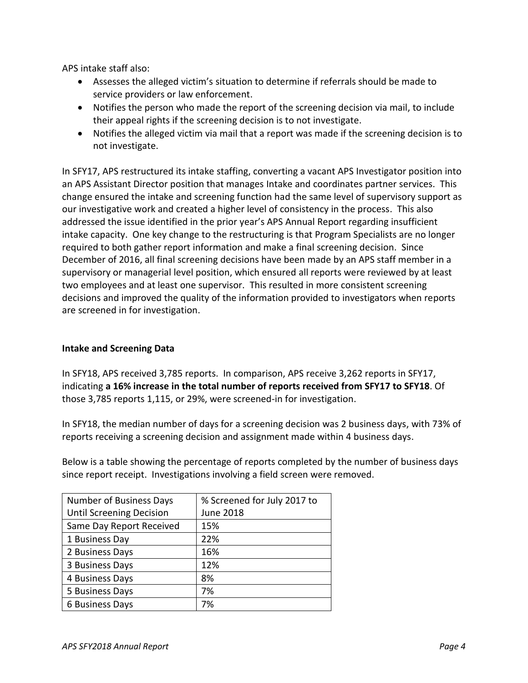APS intake staff also:

- Assesses the alleged victim's situation to determine if referrals should be made to service providers or law enforcement.
- Notifies the person who made the report of the screening decision via mail, to include their appeal rights if the screening decision is to not investigate.
- Notifies the alleged victim via mail that a report was made if the screening decision is to not investigate.

In SFY17, APS restructured its intake staffing, converting a vacant APS Investigator position into an APS Assistant Director position that manages Intake and coordinates partner services. This change ensured the intake and screening function had the same level of supervisory support as our investigative work and created a higher level of consistency in the process. This also addressed the issue identified in the prior year's APS Annual Report regarding insufficient intake capacity. One key change to the restructuring is that Program Specialists are no longer required to both gather report information and make a final screening decision. Since December of 2016, all final screening decisions have been made by an APS staff member in a supervisory or managerial level position, which ensured all reports were reviewed by at least two employees and at least one supervisor. This resulted in more consistent screening decisions and improved the quality of the information provided to investigators when reports are screened in for investigation.

### **Intake and Screening Data**

In SFY18, APS received 3,785 reports. In comparison, APS receive 3,262 reports in SFY17, indicating **a 16% increase in the total number of reports received from SFY17 to SFY18**. Of those 3,785 reports 1,115, or 29%, were screened-in for investigation.

In SFY18, the median number of days for a screening decision was 2 business days, with 73% of reports receiving a screening decision and assignment made within 4 business days.

Below is a table showing the percentage of reports completed by the number of business days since report receipt. Investigations involving a field screen were removed.

| Number of Business Days         | % Screened for July 2017 to |
|---------------------------------|-----------------------------|
| <b>Until Screening Decision</b> | <b>June 2018</b>            |
| Same Day Report Received        | 15%                         |
| 1 Business Day                  | 22%                         |
| 2 Business Days                 | 16%                         |
| 3 Business Days                 | 12%                         |
| 4 Business Days                 | 8%                          |
| 5 Business Days                 | 7%                          |
| 6 Business Days                 | 7%                          |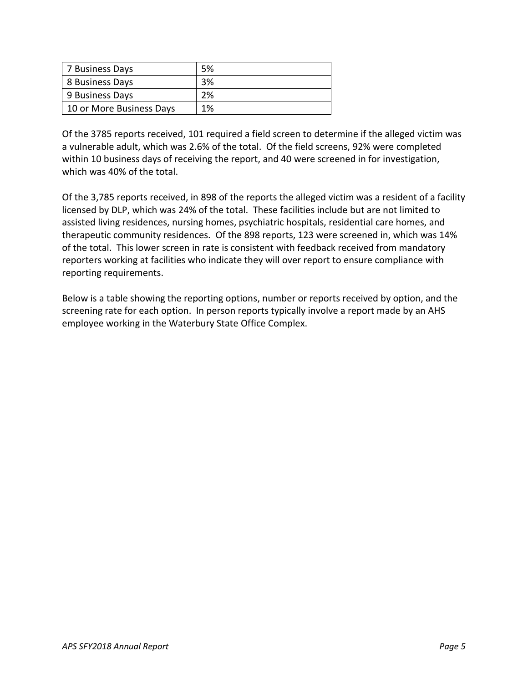| 7 Business Days          | 5% |
|--------------------------|----|
| 8 Business Days          | 3% |
| 9 Business Days          | 2% |
| 10 or More Business Days | 1% |

Of the 3785 reports received, 101 required a field screen to determine if the alleged victim was a vulnerable adult, which was 2.6% of the total. Of the field screens, 92% were completed within 10 business days of receiving the report, and 40 were screened in for investigation, which was 40% of the total.

Of the 3,785 reports received, in 898 of the reports the alleged victim was a resident of a facility licensed by DLP, which was 24% of the total. These facilities include but are not limited to assisted living residences, nursing homes, psychiatric hospitals, residential care homes, and therapeutic community residences. Of the 898 reports, 123 were screened in, which was 14% of the total. This lower screen in rate is consistent with feedback received from mandatory reporters working at facilities who indicate they will over report to ensure compliance with reporting requirements.

Below is a table showing the reporting options, number or reports received by option, and the screening rate for each option. In person reports typically involve a report made by an AHS employee working in the Waterbury State Office Complex.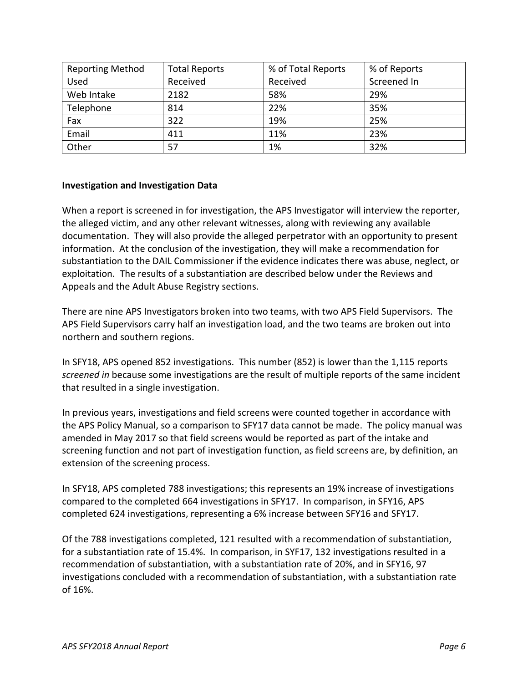| <b>Reporting Method</b> | <b>Total Reports</b> | % of Total Reports | % of Reports |
|-------------------------|----------------------|--------------------|--------------|
| Used                    | Received             | Received           | Screened In  |
| Web Intake              | 2182                 | 58%                | 29%          |
| Telephone               | 814                  | 22%                | 35%          |
| Fax                     | 322                  | 19%                | 25%          |
| Email                   | 411                  | 11%                | 23%          |
| Other                   | 57                   | 1%                 | 32%          |

#### **Investigation and Investigation Data**

When a report is screened in for investigation, the APS Investigator will interview the reporter, the alleged victim, and any other relevant witnesses, along with reviewing any available documentation. They will also provide the alleged perpetrator with an opportunity to present information. At the conclusion of the investigation, they will make a recommendation for substantiation to the DAIL Commissioner if the evidence indicates there was abuse, neglect, or exploitation. The results of a substantiation are described below under the Reviews and Appeals and the Adult Abuse Registry sections.

There are nine APS Investigators broken into two teams, with two APS Field Supervisors. The APS Field Supervisors carry half an investigation load, and the two teams are broken out into northern and southern regions.

In SFY18, APS opened 852 investigations. This number (852) is lower than the 1,115 reports *screened in* because some investigations are the result of multiple reports of the same incident that resulted in a single investigation.

In previous years, investigations and field screens were counted together in accordance with the APS Policy Manual, so a comparison to SFY17 data cannot be made. The policy manual was amended in May 2017 so that field screens would be reported as part of the intake and screening function and not part of investigation function, as field screens are, by definition, an extension of the screening process.

In SFY18, APS completed 788 investigations; this represents an 19% increase of investigations compared to the completed 664 investigations in SFY17. In comparison, in SFY16, APS completed 624 investigations, representing a 6% increase between SFY16 and SFY17.

Of the 788 investigations completed, 121 resulted with a recommendation of substantiation, for a substantiation rate of 15.4%. In comparison, in SYF17, 132 investigations resulted in a recommendation of substantiation, with a substantiation rate of 20%, and in SFY16, 97 investigations concluded with a recommendation of substantiation, with a substantiation rate of 16%.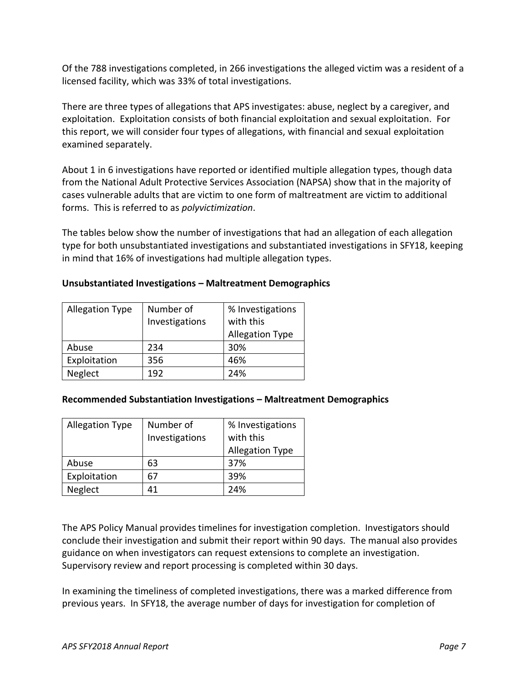Of the 788 investigations completed, in 266 investigations the alleged victim was a resident of a licensed facility, which was 33% of total investigations.

There are three types of allegations that APS investigates: abuse, neglect by a caregiver, and exploitation. Exploitation consists of both financial exploitation and sexual exploitation. For this report, we will consider four types of allegations, with financial and sexual exploitation examined separately.

About 1 in 6 investigations have reported or identified multiple allegation types, though data from the National Adult Protective Services Association (NAPSA) show that in the majority of cases vulnerable adults that are victim to one form of maltreatment are victim to additional forms. This is referred to as *polyvictimization*.

The tables below show the number of investigations that had an allegation of each allegation type for both unsubstantiated investigations and substantiated investigations in SFY18, keeping in mind that 16% of investigations had multiple allegation types.

| Unsubstantiated Investigations - Maltreatment Demographics |  |  |  |
|------------------------------------------------------------|--|--|--|
|------------------------------------------------------------|--|--|--|

| <b>Allegation Type</b> | Number of      | % Investigations       |
|------------------------|----------------|------------------------|
|                        | Investigations | with this              |
|                        |                | <b>Allegation Type</b> |
| Abuse                  | 234            | 30%                    |
| Exploitation           | 356            | 46%                    |
| Neglect                | 192            | 24%                    |

#### **Recommended Substantiation Investigations – Maltreatment Demographics**

| <b>Allegation Type</b> | Number of      | % Investigations       |
|------------------------|----------------|------------------------|
|                        | Investigations | with this              |
|                        |                | <b>Allegation Type</b> |
| Abuse                  | 63             | 37%                    |
| Exploitation           | 67             | 39%                    |
| Neglect                | 41             | 24%                    |

The APS Policy Manual provides timelines for investigation completion. Investigators should conclude their investigation and submit their report within 90 days. The manual also provides guidance on when investigators can request extensions to complete an investigation. Supervisory review and report processing is completed within 30 days.

In examining the timeliness of completed investigations, there was a marked difference from previous years. In SFY18, the average number of days for investigation for completion of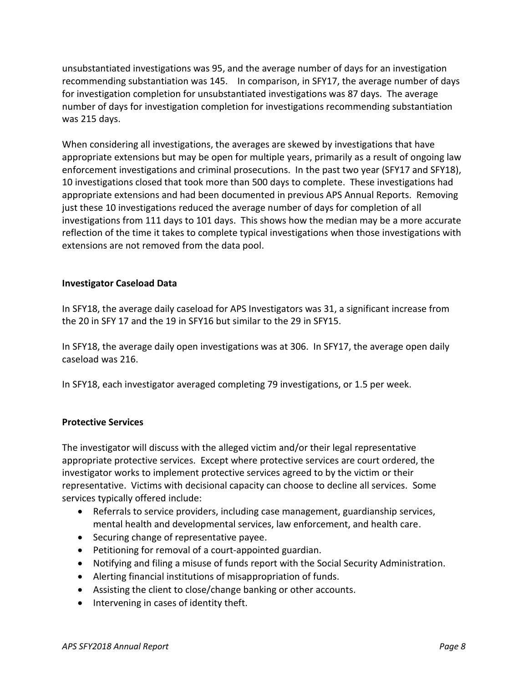unsubstantiated investigations was 95, and the average number of days for an investigation recommending substantiation was 145. In comparison, in SFY17, the average number of days for investigation completion for unsubstantiated investigations was 87 days. The average number of days for investigation completion for investigations recommending substantiation was 215 days.

When considering all investigations, the averages are skewed by investigations that have appropriate extensions but may be open for multiple years, primarily as a result of ongoing law enforcement investigations and criminal prosecutions. In the past two year (SFY17 and SFY18), 10 investigations closed that took more than 500 days to complete. These investigations had appropriate extensions and had been documented in previous APS Annual Reports. Removing just these 10 investigations reduced the average number of days for completion of all investigations from 111 days to 101 days. This shows how the median may be a more accurate reflection of the time it takes to complete typical investigations when those investigations with extensions are not removed from the data pool.

#### **Investigator Caseload Data**

In SFY18, the average daily caseload for APS Investigators was 31, a significant increase from the 20 in SFY 17 and the 19 in SFY16 but similar to the 29 in SFY15.

In SFY18, the average daily open investigations was at 306. In SFY17, the average open daily caseload was 216.

In SFY18, each investigator averaged completing 79 investigations, or 1.5 per week.

#### **Protective Services**

The investigator will discuss with the alleged victim and/or their legal representative appropriate protective services. Except where protective services are court ordered, the investigator works to implement protective services agreed to by the victim or their representative. Victims with decisional capacity can choose to decline all services. Some services typically offered include:

- Referrals to service providers, including case management, guardianship services, mental health and developmental services, law enforcement, and health care.
- Securing change of representative payee.
- Petitioning for removal of a court-appointed guardian.
- Notifying and filing a misuse of funds report with the Social Security Administration.
- Alerting financial institutions of misappropriation of funds.
- Assisting the client to close/change banking or other accounts.
- Intervening in cases of identity theft.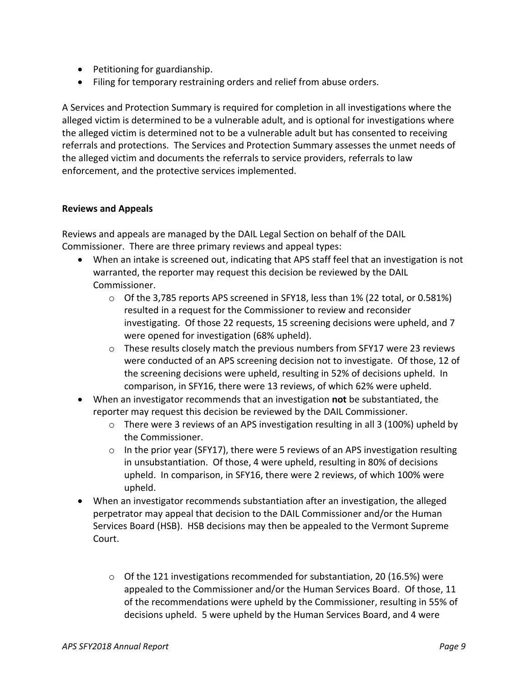- Petitioning for guardianship.
- Filing for temporary restraining orders and relief from abuse orders.

A Services and Protection Summary is required for completion in all investigations where the alleged victim is determined to be a vulnerable adult, and is optional for investigations where the alleged victim is determined not to be a vulnerable adult but has consented to receiving referrals and protections. The Services and Protection Summary assesses the unmet needs of the alleged victim and documents the referrals to service providers, referrals to law enforcement, and the protective services implemented.

### **Reviews and Appeals**

Reviews and appeals are managed by the DAIL Legal Section on behalf of the DAIL Commissioner. There are three primary reviews and appeal types:

- When an intake is screened out, indicating that APS staff feel that an investigation is not warranted, the reporter may request this decision be reviewed by the DAIL Commissioner.
	- $\circ$  Of the 3,785 reports APS screened in SFY18, less than 1% (22 total, or 0.581%) resulted in a request for the Commissioner to review and reconsider investigating. Of those 22 requests, 15 screening decisions were upheld, and 7 were opened for investigation (68% upheld).
	- $\circ$  These results closely match the previous numbers from SFY17 were 23 reviews were conducted of an APS screening decision not to investigate. Of those, 12 of the screening decisions were upheld, resulting in 52% of decisions upheld. In comparison, in SFY16, there were 13 reviews, of which 62% were upheld.
- When an investigator recommends that an investigation **not** be substantiated, the reporter may request this decision be reviewed by the DAIL Commissioner.
	- $\circ$  There were 3 reviews of an APS investigation resulting in all 3 (100%) upheld by the Commissioner.
	- $\circ$  In the prior year (SFY17), there were 5 reviews of an APS investigation resulting in unsubstantiation. Of those, 4 were upheld, resulting in 80% of decisions upheld. In comparison, in SFY16, there were 2 reviews, of which 100% were upheld.
- When an investigator recommends substantiation after an investigation, the alleged perpetrator may appeal that decision to the DAIL Commissioner and/or the Human Services Board (HSB). HSB decisions may then be appealed to the Vermont Supreme Court.
	- $\circ$  Of the 121 investigations recommended for substantiation, 20 (16.5%) were appealed to the Commissioner and/or the Human Services Board. Of those, 11 of the recommendations were upheld by the Commissioner, resulting in 55% of decisions upheld. 5 were upheld by the Human Services Board, and 4 were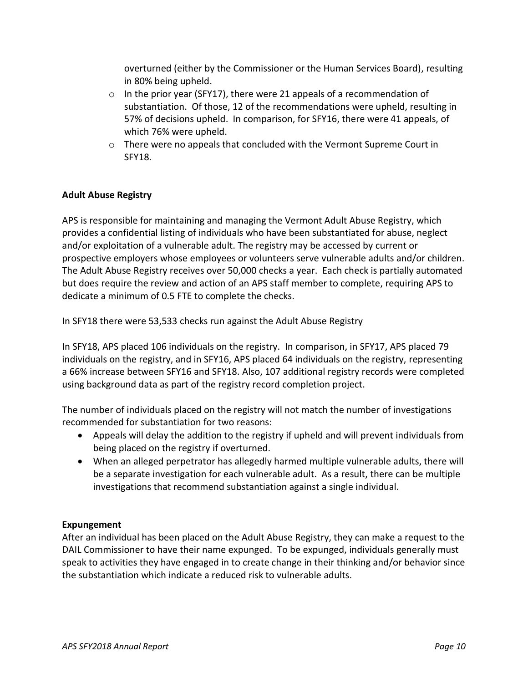overturned (either by the Commissioner or the Human Services Board), resulting in 80% being upheld.

- o In the prior year (SFY17), there were 21 appeals of a recommendation of substantiation. Of those, 12 of the recommendations were upheld, resulting in 57% of decisions upheld. In comparison, for SFY16, there were 41 appeals, of which 76% were upheld.
- $\circ$  There were no appeals that concluded with the Vermont Supreme Court in SFY18.

### **Adult Abuse Registry**

APS is responsible for maintaining and managing the Vermont Adult Abuse Registry, which provides a confidential listing of individuals who have been substantiated for abuse, neglect and/or exploitation of a vulnerable adult. The registry may be accessed by current or prospective employers whose employees or volunteers serve vulnerable adults and/or children. The Adult Abuse Registry receives over 50,000 checks a year. Each check is partially automated but does require the review and action of an APS staff member to complete, requiring APS to dedicate a minimum of 0.5 FTE to complete the checks.

In SFY18 there were 53,533 checks run against the Adult Abuse Registry

In SFY18, APS placed 106 individuals on the registry. In comparison, in SFY17, APS placed 79 individuals on the registry, and in SFY16, APS placed 64 individuals on the registry, representing a 66% increase between SFY16 and SFY18. Also, 107 additional registry records were completed using background data as part of the registry record completion project.

The number of individuals placed on the registry will not match the number of investigations recommended for substantiation for two reasons:

- Appeals will delay the addition to the registry if upheld and will prevent individuals from being placed on the registry if overturned.
- When an alleged perpetrator has allegedly harmed multiple vulnerable adults, there will be a separate investigation for each vulnerable adult. As a result, there can be multiple investigations that recommend substantiation against a single individual.

### **Expungement**

After an individual has been placed on the Adult Abuse Registry, they can make a request to the DAIL Commissioner to have their name expunged. To be expunged, individuals generally must speak to activities they have engaged in to create change in their thinking and/or behavior since the substantiation which indicate a reduced risk to vulnerable adults.